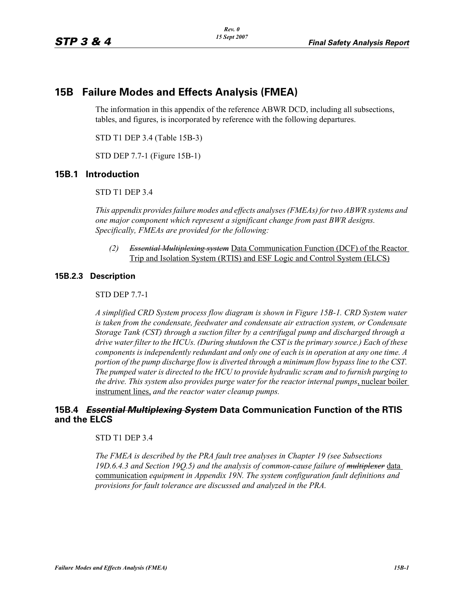# **15B Failure Modes and Effects Analysis (FMEA)**

The information in this appendix of the reference ABWR DCD, including all subsections, tables, and figures, is incorporated by reference with the following departures.

STD T1 DEP 3.4 (Table 15B-3)

STD DEP 7.7-1 (Figure 15B-1)

# **15B.1 Introduction**

STD T1 DEP 3.4

*This appendix provides failure modes and effects analyses (FMEAs) for two ABWR systems and one major component which represent a significant change from past BWR designs. Specifically, FMEAs are provided for the following:*

*(2) Essential Multiplexing system* Data Communication Function (DCF) of the Reactor Trip and Isolation System (RTIS) and ESF Logic and Control System (ELCS)

# **15B.2.3 Description**

### STD DEP 7.7-1

*A simplified CRD System process flow diagram is shown in Figure [15B-1.](#page-2-0) CRD System water is taken from the condensate, feedwater and condensate air extraction system, or Condensate Storage Tank (CST) through a suction filter by a centrifugal pump and discharged through a drive water filter to the HCUs. (During shutdown the CST is the primary source.) Each of these components is independently redundant and only one of each is in operation at any one time. A portion of the pump discharge flow is diverted through a minimum flow bypass line to the CST. The pumped water is directed to the HCU to provide hydraulic scram and to furnish purging to the drive. This system also provides purge water for the reactor internal pumps*, nuclear boiler instrument lines, *and the reactor water cleanup pumps.*

# **15B.4 Essential Multiplexing System Data Communication Function of the RTIS and the ELCS**

### STD T1 DEP 3.4

*The FMEA is described by the PRA fault tree analyses in Chapter 19 (see Subsections 19D.6.4.3 and Section 19Q.5) and the analysis of common-cause failure of multiplexer* data communication *equipment in Appendix 19N. The system configuration fault definitions and provisions for fault tolerance are discussed and analyzed in the PRA.*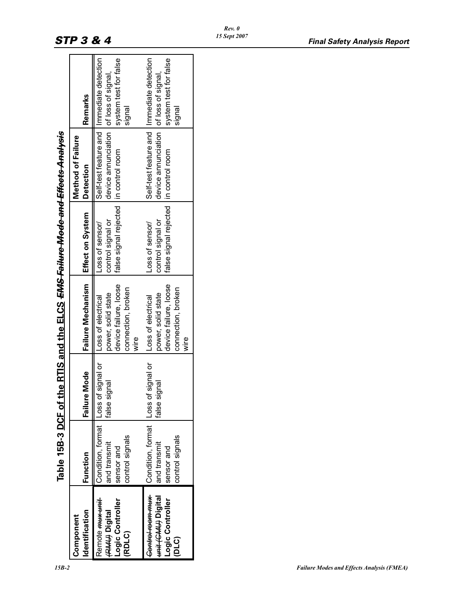|                                                                                 |                                                                            |                             | Table 15B-3 DCF of the RTIS and the ELCS <del>EMS Failure Mode and Effects Analysis</del>        |                                                                                 |                                                                                         |                                 |
|---------------------------------------------------------------------------------|----------------------------------------------------------------------------|-----------------------------|--------------------------------------------------------------------------------------------------|---------------------------------------------------------------------------------|-----------------------------------------------------------------------------------------|---------------------------------|
| Identification<br>Component                                                     | Function                                                                   | Mode<br>Failure             | Failure Mechanism                                                                                | <b>Effect on System</b>                                                         | Method of Failure<br><b>Detection</b>                                                   | Remarks                         |
| Remote <del>mux unit</del><br>Logic Controller<br>Hand Digital<br>(RDLC)        | Condition, format Loss of<br>control signals<br>and transmit<br>sensor and | signal or<br>false signal   | device failure, loose<br>connection, broken<br>power, solid state<br> Loss of electrical<br>wire | false signal rejected   in control room<br>control signal or<br>Loss of sensor/ | Self-test feature and   Immediate detection<br>device annunciation   of loss of signal, | system test for false<br>signal |
| Control room mux<br>Heald formed time<br>Logic Controller<br>(D <sub>TC</sub> ) | Condition, format Loss of<br>control signals<br>and transmit<br>sensor and | f signal or<br>false signal | device failure, loose<br>connection, broken<br>power, solid state<br>Loss of electrical<br>wire  | false signal rejected   in control room<br>control signal or<br>Loss of sensor/ | Self-test feature and   Immediate detection<br>device annunciation of loss of signal,   | system test for false<br>signal |